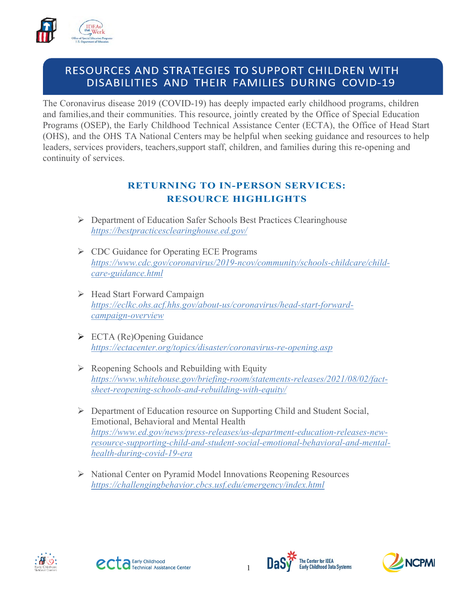

# RESOURCES AND STRATEGIES TO SUPPORT CHILDREN WITH DISABILITIES AND THEIR FAMILIES DURING COVID-19

The Coronavirus disease 2019 (COVID-19) has deeply impacted early childhood programs, children and families,and their communities. This resource, jointly created by the Office of Special Education Programs (OSEP), the Early Childhood Technical Assistance Center (ECTA), the Office of Head Start (OHS), and the OHS TA National Centers may be helpful when seeking guidance and resources to help leaders, services providers, teachers,support staff, children, and families during this re-opening and continuity of services.

## **RETURNING TO IN-PERSON SERVICES: RESOURCE HIGHLIGHTS**

- Department of Education Safer Schools Best Practices Clearinghouse *<https://bestpracticesclearinghouse.ed.gov/>*
- ▶ <b>CDC</b> <i>Guidance</i> for <i>Operating</i> <i>ECE</i> <i>Programs</i> *[https://www.cdc.gov/coronavirus/2019-ncov/community/schools-childcare/child](https://www.cdc.gov/coronavirus/2019-ncov/community/schools-childcare/child-care-guidance.html)[care-guidance.html](https://www.cdc.gov/coronavirus/2019-ncov/community/schools-childcare/child-care-guidance.html)*
- $\triangleright$  Head Start Forward Campaign *[https://eclkc.ohs.acf.hhs.gov/about-us/coronavirus/head-start-forward](https://eclkc.ohs.acf.hhs.gov/about-us/coronavirus/head-start-forward-campaign-overview)[campaign-overview](https://eclkc.ohs.acf.hhs.gov/about-us/coronavirus/head-start-forward-campaign-overview)*
- ECTA (Re)Opening Guidance *<https://ectacenter.org/topics/disaster/coronavirus-re-opening.asp>*
- $\triangleright$  Reopening Schools and Rebuilding with Equity *[https://www.whitehouse.gov/briefing-room/statements-releases/2021/08/02/fact](https://www.whitehouse.gov/briefing-room/statements-releases/2021/08/02/fact-sheet-reopening-schools-and-rebuilding-with-equity/)[sheet-reopening-schools-and-rebuilding-with-equity/](https://www.whitehouse.gov/briefing-room/statements-releases/2021/08/02/fact-sheet-reopening-schools-and-rebuilding-with-equity/)*
- $\triangleright$  Department of Education resource on Supporting Child and Student Social, Emotional, Behavioral and Mental Health *[https://www.ed.gov/news/press-releases/us-department-education-releases-new](https://www.ed.gov/news/press-releases/us-department-education-releases-new-resource-supporting-child-and-student-social-emotional-behavioral-and-mental-health-during-covid-19-era)[resource-supporting-child-and-student-social-emotional-behavioral-and-mental](https://www.ed.gov/news/press-releases/us-department-education-releases-new-resource-supporting-child-and-student-social-emotional-behavioral-and-mental-health-during-covid-19-era)[health-during-covid-19-era](https://www.ed.gov/news/press-releases/us-department-education-releases-new-resource-supporting-child-and-student-social-emotional-behavioral-and-mental-health-during-covid-19-era)*
- National Center on Pyramid Model Innovations Reopening Resources *<https://challengingbehavior.cbcs.usf.edu/emergency/index.html>*







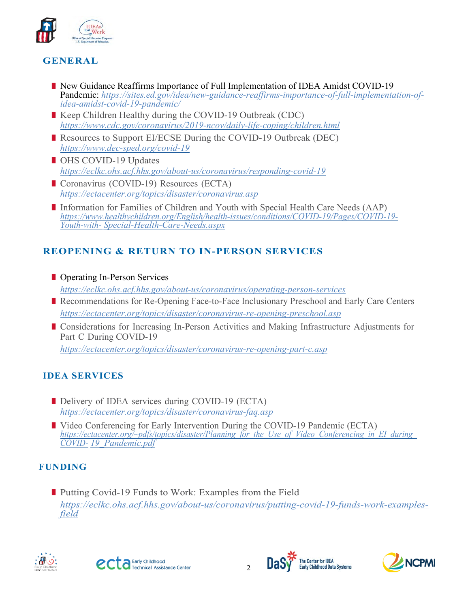

## **GENERAL**

- **New Guidance Reaffirms Importance of Full Implementation of IDEA Amidst COVID-19** Pandemic: *https://sites.ed.gov/idea/new-guidance-reaffirms-importance-of-full-implementation-of- idea-amidst-covid-19-pandemic/*
- Keep Children Healthy during the COVID-19 Outbreak (CDC) *<https://www.cdc.gov/coronavirus/2019-ncov/daily-life-coping/children.html>*
- Resources to Support EI/ECSE During the COVID-19 Outbreak (DEC) *<https://www.dec-sped.org/covid-19>*
- OHS COVID-19 Updates *<https://eclkc.ohs.acf.hhs.gov/about-us/coronavirus/responding-covid-19>*
- Coronavirus (COVID-19) Resources (ECTA) *<https://ectacenter.org/topics/disaster/coronavirus.asp>*
- Information for Families of Children and Youth with Special Health Care Needs (AAP) *[https://www.healthychildren.org/English/health-issues/conditions/COVID-19/Pages/COVID-19-](https://www.healthychildren.org/English/health-issues/conditions/COVID-19/Pages/COVID-19-Youth-with-Special-Health-Care-Needs.aspx) [Youth-with-](https://www.healthychildren.org/English/health-issues/conditions/COVID-19/Pages/COVID-19-Youth-with-Special-Health-Care-Needs.aspx) [Special-Health-Care-Needs.aspx](https://www.healthychildren.org/English/health-issues/conditions/COVID-19/Pages/COVID-19-Youth-with-Special-Health-Care-Needs.aspx)*

## **REOPENING & RETURN TO IN-PERSON SERVICES**

- **Operating In-Person Services** *<https://eclkc.ohs.acf.hhs.gov/about-us/coronavirus/operating-person-services>*
- Recommendations for Re-Opening Face-to-Face Inclusionary Preschool and Early Care Centers *<https://ectacenter.org/topics/disaster/coronavirus-re-opening-preschool.asp>*
- **I** Considerations for Increasing In-Person Activities and Making Infrastructure Adjustments for Part C During COVID-19 *<https://ectacenter.org/topics/disaster/coronavirus-re-opening-part-c.asp>*

### **IDEA SERVICES**

- Delivery of IDEA services during COVID-19 (ECTA) *<https://ectacenter.org/topics/disaster/coronavirus-faq.asp>*
- Video Conferencing for Early Intervention During the COVID-19 Pandemic (ECTA) *[https://ectacenter.org/~pdfs/topics/disaster/Planning\\_for\\_the\\_Use\\_of\\_Video\\_Conferencing\\_in\\_EI\\_during\\_](https://ectacenter.org/%7Epdfs/topics/disaster/Planning_for_the_Use_of_Video_Conferencing_in_EI_during_COVID-19_Pandemic.pdf) [COVID-](https://ectacenter.org/%7Epdfs/topics/disaster/Planning_for_the_Use_of_Video_Conferencing_in_EI_during_COVID-19_Pandemic.pdf) [19\\_Pandemic.pdf](https://ectacenter.org/%7Epdfs/topics/disaster/Planning_for_the_Use_of_Video_Conferencing_in_EI_during_COVID-19_Pandemic.pdf)*

## **FUNDING**

■ Putting Covid-19 Funds to Work: Examples from the Field *[https://eclkc.ohs.acf.hhs.gov/about-us/coronavirus/putting-covid-19-funds-work-examples-](https://eclkc.ohs.acf.hhs.gov/about-us/coronavirus/putting-covid-19-funds-work-examples-field) [field](https://eclkc.ohs.acf.hhs.gov/about-us/coronavirus/putting-covid-19-funds-work-examples-field)*







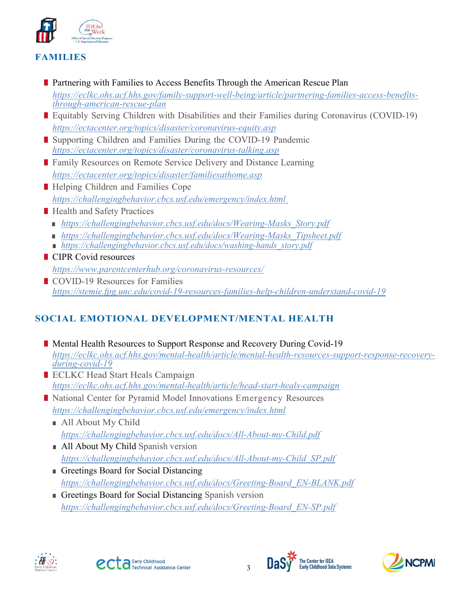

## **FAMILIES**

- **Partnering with Families to Access Benefits Through the American Rescue Plan** *[https://eclkc.ohs.acf.hhs.gov/family-support-well-being/article/partnering-families-access-benefits-](https://eclkc.ohs.acf.hhs.gov/family-support-well-being/article/partnering-families-access-benefits-through-american-rescue-plan) [through-american-rescue-plan](https://eclkc.ohs.acf.hhs.gov/family-support-well-being/article/partnering-families-access-benefits-through-american-rescue-plan)*
- **Equitably Serving Children with Disabilities and their Families during Coronavirus (COVID-19)** *<https://ectacenter.org/topics/disaster/coronavirus-equity.asp>*
- Supporting Children and Families During the COVID-19 Pandemic *<https://ectacenter.org/topics/disaster/coronavirus-talking.asp>*
- **Family Resources on Remote Service Delivery and Distance Learning** *<https://ectacenter.org/topics/disaster/familiesathome.asp>*
- Helping Children and Families Cope *<https://challengingbehavior.cbcs.usf.edu/emergency/index.html>*
- Health and Safety Practices
	- *https://challengingbehavior.cbcs.usf.edu/docs/Wearing-Masks Story.pdf*
	- *[https://challengingbehavior.cbcs.usf.edu/docs/Wearing-Masks\\_Tipsheet.pdf](https://challengingbehavior.cbcs.usf.edu/docs/Wearing-Masks_Tipsheet.pdf)*
	- *[https://challengingbehavior.cbcs.usf.edu/docs/washing-hands\\_story.pdf](https://challengingbehavior.cbcs.usf.edu/docs/washing-hands_story.pdf)*
- CIPR Covid resources *<https://www.parentcenterhub.org/coronavirus-resources/>*
- COVID-19 Resources for Families *<https://stemie.fpg.unc.edu/covid-19-resources-families-help-children-understand-covid-19>*

# **SOCIAL EMOTIONAL DEVELOPMENT/MENTAL HEALTH**

- **Mental Health Resources to Support Response and Recovery During Covid-19** *https://eclkc.ohs.acf.hhs.gov/mental-health/article/mental-health-resources-support-response-recovery- during-covid-19*
- ECLKC Head Start Heals Campaign *<https://eclkc.ohs.acf.hhs.gov/mental-health/article/head-start-heals-campaign>*
- National Center for Pyramid Model Innovations Emergency Resources *<https://challengingbehavior.cbcs.usf.edu/emergency/index.html>*
	- All About My Child *<https://challengingbehavior.cbcs.usf.edu/docs/All-About-my-Child.pdf>*
	- All About My Child Spanish version *https://challengingbehavior.cbcs.usf.edu/docs/All-About-my-Child\_SP.pdf*
	- Greetings Board for Social Distancing *https://challengingbehavior.cbcs.usf.edu/docs/Greeting-Board\_EN-BLANK.pdf*
	- Greetings Board for Social Distancing Spanish version *[https://challengingbehavior.cbcs.usf.edu/docs/Greeting-Board\\_EN-SP.pdf](https://challengingbehavior.cbcs.usf.edu/docs/Greeting-Board_EN-SP.pdf)*







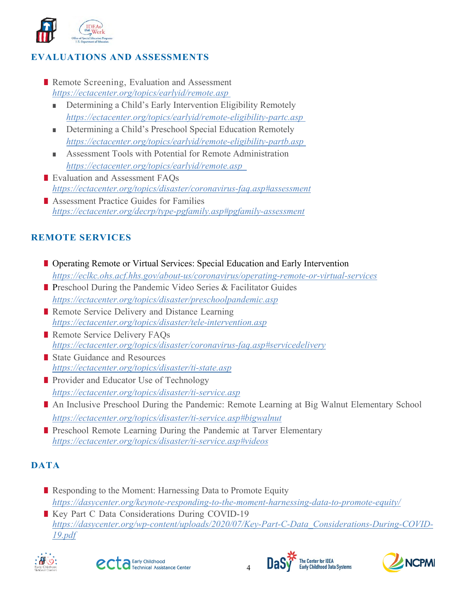

### **EVALUATIONS AND ASSESSMENTS**

- Remote Screening, Evaluation and Assessment *<https://ectacenter.org/topics/earlyid/remote.asp>*
	- Determining a Child's Early Intervention Eligibility Remotely *<https://ectacenter.org/topics/earlyid/remote-eligibility-partc.asp>*
	- Determining a Child's Preschool Special Education Remotely *<https://ectacenter.org/topics/earlyid/remote-eligibility-partb.asp>*
	- Assessment Tools with Potential for Remote Administration *<https://ectacenter.org/topics/earlyid/remote.asp>*
- Evaluation and Assessment FAOs *<https://ectacenter.org/topics/disaster/coronavirus-faq.asp#assessment>*
- Assessment Practice Guides for Families *<https://ectacenter.org/decrp/type-pgfamily.asp#pgfamily-assessment>*

#### **REMOTE SERVICES**

- **Deparating Remote or Virtual Services: Special Education and Early Intervention** *<https://eclkc.ohs.acf.hhs.gov/about-us/coronavirus/operating-remote-or-virtual-services>*
- **Preschool During the Pandemic Video Series & Facilitator Guides** *<https://ectacenter.org/topics/disaster/preschoolpandemic.asp>*
- Remote Service Delivery and Distance Learning *<https://ectacenter.org/topics/disaster/tele-intervention.asp>*
- Remote Service Delivery FAOs *<https://ectacenter.org/topics/disaster/coronavirus-faq.asp#servicedelivery>*
- State Guidance and Resources *<https://ectacenter.org/topics/disaster/ti-state.asp>*
- **Provider and Educator Use of Technology** *<https://ectacenter.org/topics/disaster/ti-service.asp>*
- An Inclusive Preschool During the Pandemic: Remote Learning at Big Walnut Elementary School *<https://ectacenter.org/topics/disaster/ti-service.asp#bigwalnut>*
- **Preschool Remote Learning During the Pandemic at Tarver Elementary** *<https://ectacenter.org/topics/disaster/ti-service.asp#videos>*

### **DATA**

- Responding to the Moment: Harnessing Data to Promote Equity *<https://dasycenter.org/keynote-responding-to-the-moment-harnessing-data-to-promote-equity/>*
- Key Part C Data Considerations During COVID-19 *[https://dasycenter.org/wp-content/uploads/2020/07/Key-Part-C-Data\\_Considerations-During-COVID-](https://dasycenter.org/wp-content/uploads/2020/07/Key-Part-C-Data_Considerations-During-COVID-19.pdf)[19.pdf](https://dasycenter.org/wp-content/uploads/2020/07/Key-Part-C-Data_Considerations-During-COVID-19.pdf)*